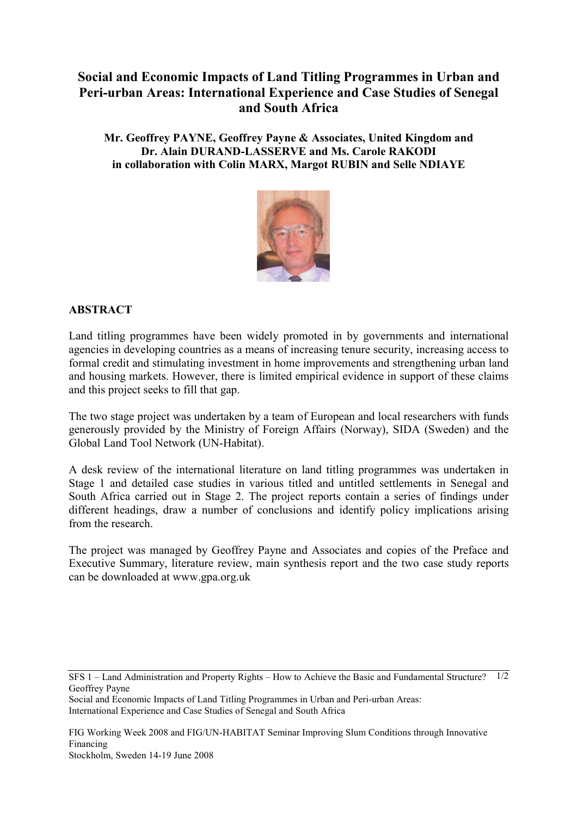## **Social and Economic Impacts of Land Titling Programmes in Urban and Peri-urban Areas: International Experience and Case Studies of Senegal and South Africa**

**Mr. Geoffrey PAYNE, Geoffrey Payne & Associates, United Kingdom and Dr. Alain DURAND-LASSERVE and Ms. Carole RAKODI in collaboration with Colin MARX, Margot RUBIN and Selle NDIAYE** 



## **ABSTRACT**

Land titling programmes have been widely promoted in by governments and international agencies in developing countries as a means of increasing tenure security, increasing access to formal credit and stimulating investment in home improvements and strengthening urban land and housing markets. However, there is limited empirical evidence in support of these claims and this project seeks to fill that gap.

The two stage project was undertaken by a team of European and local researchers with funds generously provided by the Ministry of Foreign Affairs (Norway), SIDA (Sweden) and the Global Land Tool Network (UN-Habitat).

A desk review of the international literature on land titling programmes was undertaken in Stage 1 and detailed case studies in various titled and untitled settlements in Senegal and South Africa carried out in Stage 2. The project reports contain a series of findings under different headings, draw a number of conclusions and identify policy implications arising from the research.

The project was managed by Geoffrey Payne and Associates and copies of the Preface and Executive Summary, literature review, main synthesis report and the two case study reports can be downloaded at www.gpa.org.uk

Social and Economic Impacts of Land Titling Programmes in Urban and Peri-urban Areas: International Experience and Case Studies of Senegal and South Africa

FIG Working Week 2008 and FIG/UN-HABITAT Seminar Improving Slum Conditions through Innovative Financing Stockholm, Sweden 14-19 June 2008

SFS 1 – Land Administration and Property Rights – How to Achieve the Basic and Fundamental Structure? 1/2 Geoffrey Payne